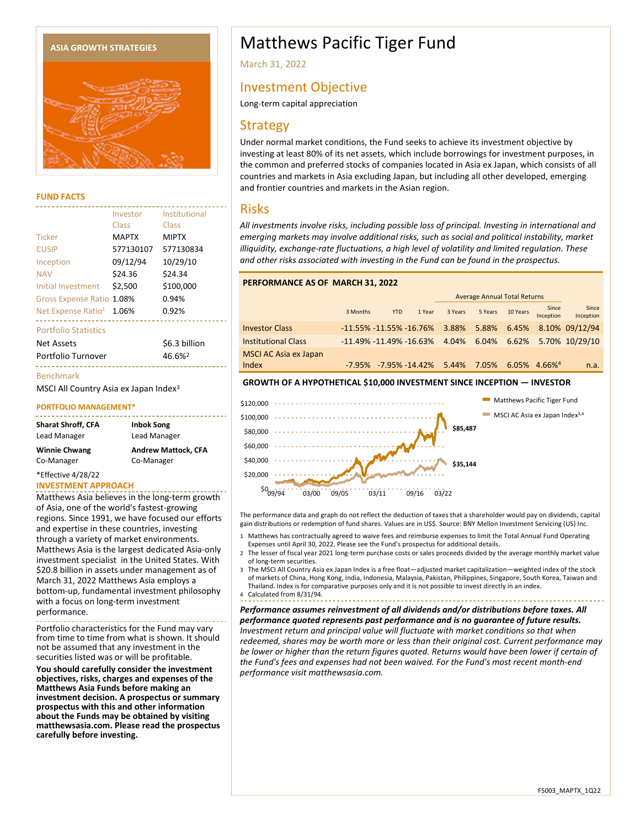

#### **FUND FACTS**

|                                | Investor<br>Class | Institutional<br>Class |
|--------------------------------|-------------------|------------------------|
|                                |                   |                        |
| <b>Ticker</b>                  | <b>MAPTX</b>      | <b>MIPTX</b>           |
| <b>CUSIP</b>                   | 577130107         | 577130834              |
| Inception                      | 09/12/94          | 10/29/10               |
| <b>NAV</b>                     | \$24.36           | \$24.34                |
| Initial Investment             | \$2,500           | \$100.000              |
| Gross Expense Ratio            | 1.08%             | 0.94%                  |
| Net Expense Ratio <sup>1</sup> | 1.06%             | 0.92%                  |
| <b>Portfolio Statistics</b>    |                   |                        |
| Net Assets                     |                   | \$6.3 billion          |
| Portfolio Turnover             |                   | 46.6% <sup>2</sup>     |
|                                |                   |                        |

#### Benchmark

MSCI All Country Asia ex Japan Index<sup>3</sup>

#### **PORTFOLIO MANAGEMENT\***

| <b>Inbok Song</b>          |
|----------------------------|
| Lead Manager               |
| <b>Andrew Mattock. CFA</b> |
| Co-Manager                 |
|                            |

\*Effective 4/28/22

#### **INVESTMENT APPROACH**

Matthews Asia believes in the long-term growth of Asia, one of the world's fastest-growing regions. Since 1991, we have focused our efforts and expertise in these countries, investing through a variety of market environments. Matthews Asia is the largest dedicated Asia-only investment specialist in the United States. With \$20.8 billion in assets under management as of March 31, 2022 Matthews Asia employs a bottom-up, fundamental investment philosophy with a focus on long-term investment performance.

Portfolio characteristics for the Fund may vary from time to time from what is shown. It should not be assumed that any investment in the securities listed was or will be profitable.

**You should carefully consider the investment objectives, risks, charges and expenses of the Matthews Asia Funds before making an investment decision. A prospectus or summary prospectus with this and other information about the Funds may be obtained by visiting matthewsasia.com. Please read the prospectus carefully before investing.**

# ASIA GROWTH STRATEGIES **A CONCRETE 19 STATEGIES** Matthews Pacific Tiger Fund

March 31, 2022

# Investment Objective

Long-term capital appreciation

# **Strategy**

Under normal market conditions, the Fund seeks to achieve its investment objective by investing at least 80% of its net assets, which include borrowings for investment purposes, in the common and preferred stocks of companies located in Asia ex Japan, which consists of all countries and markets in Asia excluding Japan, but including all other developed, emerging and frontier countries and markets in the Asian region.

## Risks

*All investments involve risks, including possible loss of principal. Investing in international and emerging markets may involve additional risks, such as social and political instability, market illiquidity, exchange-rate fluctuations, a high level of volatility and limited regulation. These and other risks associated with investing in the Fund can be found in the prospectus.*

#### **PERFORMANCE AS OF MARCH 31, 2022**

|                              |                            |            |                       | <b>Average Annual Total Returns</b> |             |             |                             |                    |
|------------------------------|----------------------------|------------|-----------------------|-------------------------------------|-------------|-------------|-----------------------------|--------------------|
|                              | 3 Months                   | <b>YTD</b> | 1 Year                | 3 Years                             | 5 Years     | 10 Years    | Since<br>Inception          | Since<br>Inception |
| <b>Investor Class</b>        | $-11.55\%$ -11.55% -16.76% |            |                       | 3.88%                               |             | 5.88% 6.45% |                             | 8.10% 09/12/94     |
| <b>Institutional Class</b>   | $-11.49\%$ -11.49% -16.63% |            |                       | 4.04%                               | 6.04% 6.62% |             |                             | 5.70% 10/29/10     |
| <b>MSCI AC Asia ex Japan</b> |                            |            |                       |                                     |             |             |                             |                    |
| Index                        |                            |            | -7.95% -7.95% -14.42% | 5.44%                               | 7.05%       |             | $6.05\%$ 4.66% <sup>4</sup> | n.a.               |

#### **GROWTH OF A HYPOTHETICAL \$10,000 INVESTMENT SINCE INCEPTION — INVESTOR**



The performance data and graph do not reflect the deduction of taxes that a shareholder would pay on dividends, capital gain distributions or redemption of fund shares. Values are in US\$. Source: BNY Mellon Investment Servicing (US) Inc.

- 1 Matthews has contractually agreed to waive fees and reimburse expenses to limit the Total Annual Fund Operating Expenses until April 30, 2022. Please see the Fund's prospectus for additional details.
- 2 The lesser of fiscal year 2021 long-term purchase costs or sales proceeds divided by the average monthly market value of long-term securities.
- 3 The MSCI All Country Asia ex Japan Index is a free float—adjusted market capitalization—weighted index of the stock of markets of China, Hong Kong, India, Indonesia, Malaysia, Pakistan, Philippines, Singapore, South Korea, Taiwan and Thailand. Index is for comparative purposes only and it is not possible to invest directly in an index.
- 4 Calculated from 8/31/94.

*Performance assumes reinvestment of all dividends and/or distributions before taxes. All performance quoted represents past performance and is no guarantee of future results. Investment return and principal value will fluctuate with market conditions so that when redeemed, shares may be worth more or less than their original cost. Current performance may be lower or higher than the return figures quoted. Returns would have been lower if certain of the Fund's fees and expenses had not been waived. For the Fund's most recent month-end performance visit matthewsasia.com.*